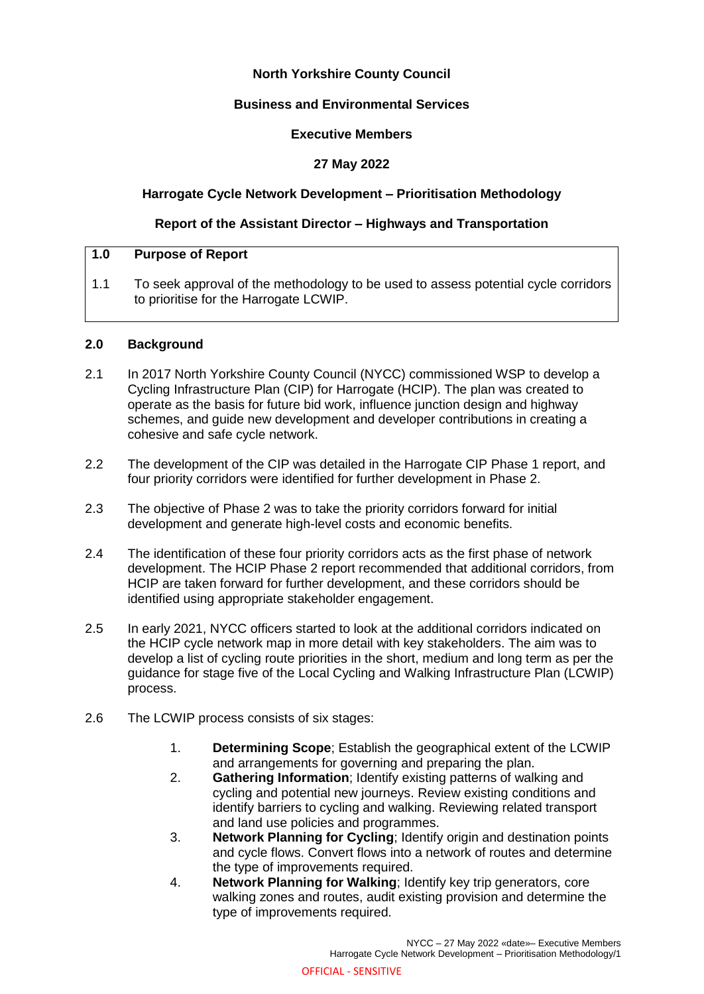# **North Yorkshire County Council**

### **Business and Environmental Services**

### **Executive Members**

## **27 May 2022**

### **Harrogate Cycle Network Development – Prioritisation Methodology**

### **Report of the Assistant Director – Highways and Transportation**

## **1.0 Purpose of Report**

1.1 To seek approval of the methodology to be used to assess potential cycle corridors to prioritise for the Harrogate LCWIP.

#### **2.0 Background**

- 2.1 In 2017 North Yorkshire County Council (NYCC) commissioned WSP to develop a Cycling Infrastructure Plan (CIP) for Harrogate (HCIP). The plan was created to operate as the basis for future bid work, influence junction design and highway schemes, and guide new development and developer contributions in creating a cohesive and safe cycle network.
- 2.2 The development of the CIP was detailed in the Harrogate CIP Phase 1 report, and four priority corridors were identified for further development in Phase 2.
- 2.3 The objective of Phase 2 was to take the priority corridors forward for initial development and generate high-level costs and economic benefits.
- 2.4 The identification of these four priority corridors acts as the first phase of network development. The HCIP Phase 2 report recommended that additional corridors, from HCIP are taken forward for further development, and these corridors should be identified using appropriate stakeholder engagement.
- 2.5 In early 2021, NYCC officers started to look at the additional corridors indicated on the HCIP cycle network map in more detail with key stakeholders. The aim was to develop a list of cycling route priorities in the short, medium and long term as per the guidance for stage five of the Local Cycling and Walking Infrastructure Plan (LCWIP) process.
- 2.6 The LCWIP process consists of six stages:
	- 1. **Determining Scope**; Establish the geographical extent of the LCWIP and arrangements for governing and preparing the plan.
	- 2. **Gathering Information**; Identify existing patterns of walking and cycling and potential new journeys. Review existing conditions and identify barriers to cycling and walking. Reviewing related transport and land use policies and programmes.
	- 3. **Network Planning for Cycling**; Identify origin and destination points and cycle flows. Convert flows into a network of routes and determine the type of improvements required.
	- 4. **Network Planning for Walking**; Identify key trip generators, core walking zones and routes, audit existing provision and determine the type of improvements required.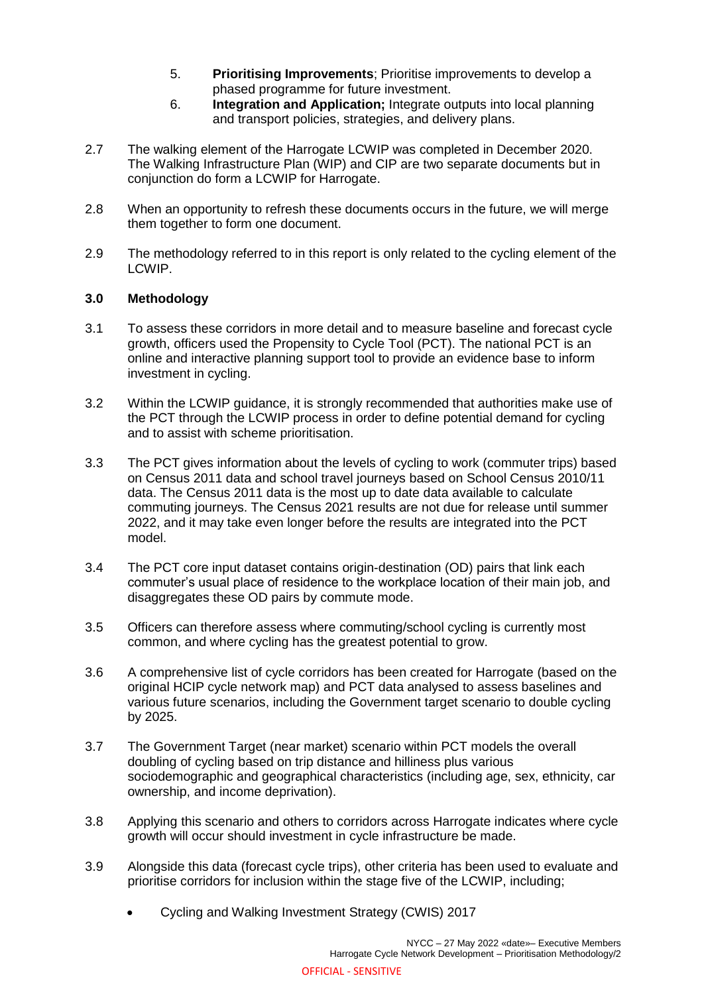- 5. **Prioritising Improvements**; Prioritise improvements to develop a phased programme for future investment.
- 6. **Integration and Application;** Integrate outputs into local planning and transport policies, strategies, and delivery plans.
- 2.7 The walking element of the Harrogate LCWIP was completed in December 2020. The Walking Infrastructure Plan (WIP) and CIP are two separate documents but in conjunction do form a LCWIP for Harrogate.
- 2.8 When an opportunity to refresh these documents occurs in the future, we will merge them together to form one document.
- 2.9 The methodology referred to in this report is only related to the cycling element of the LCWIP.

### **3.0 Methodology**

- 3.1 To assess these corridors in more detail and to measure baseline and forecast cycle growth, officers used the Propensity to Cycle Tool (PCT). The national PCT is an online and interactive planning support tool to provide an evidence base to inform investment in cycling.
- 3.2 Within the LCWIP guidance, it is strongly recommended that authorities make use of the PCT through the LCWIP process in order to define potential demand for cycling and to assist with scheme prioritisation.
- 3.3 The PCT gives information about the levels of cycling to work (commuter trips) based on Census 2011 data and school travel journeys based on School Census 2010/11 data. The Census 2011 data is the most up to date data available to calculate commuting journeys. The Census 2021 results are not due for release until summer 2022, and it may take even longer before the results are integrated into the PCT model.
- 3.4 The PCT core input dataset contains origin-destination (OD) pairs that link each commuter's usual place of residence to the workplace location of their main job, and disaggregates these OD pairs by commute mode.
- 3.5 Officers can therefore assess where commuting/school cycling is currently most common, and where cycling has the greatest potential to grow.
- 3.6 A comprehensive list of cycle corridors has been created for Harrogate (based on the original HCIP cycle network map) and PCT data analysed to assess baselines and various future scenarios, including the Government target scenario to double cycling by 2025.
- 3.7 The Government Target (near market) scenario within PCT models the overall doubling of cycling based on trip distance and hilliness plus various sociodemographic and geographical characteristics (including age, sex, ethnicity, car ownership, and income deprivation).
- 3.8 Applying this scenario and others to corridors across Harrogate indicates where cycle growth will occur should investment in cycle infrastructure be made.
- 3.9 Alongside this data (forecast cycle trips), other criteria has been used to evaluate and prioritise corridors for inclusion within the stage five of the LCWIP, including;
	- Cycling and Walking Investment Strategy (CWIS) 2017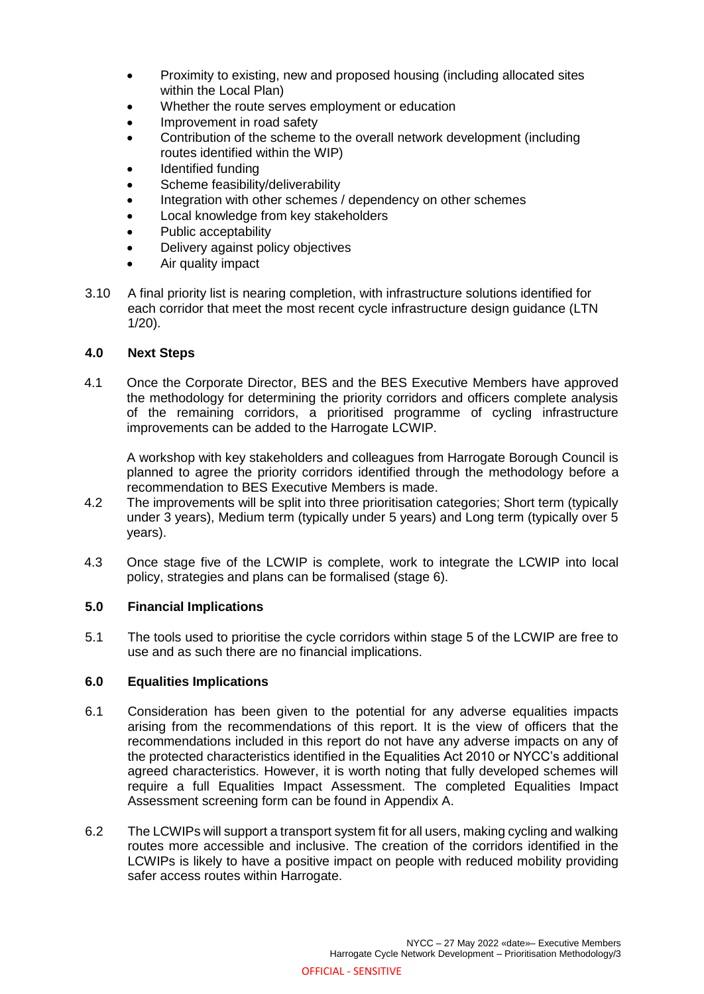- Proximity to existing, new and proposed housing (including allocated sites within the Local Plan)
- Whether the route serves employment or education
- Improvement in road safety
- Contribution of the scheme to the overall network development (including routes identified within the WIP)
- Identified funding
- Scheme feasibility/deliverability
- Integration with other schemes / dependency on other schemes
- Local knowledge from key stakeholders
- Public acceptability
- Delivery against policy objectives
- Air quality impact
- 3.10 A final priority list is nearing completion, with infrastructure solutions identified for each corridor that meet the most recent cycle infrastructure design guidance (LTN 1/20).

### **4.0 Next Steps**

4.1 Once the Corporate Director, BES and the BES Executive Members have approved the methodology for determining the priority corridors and officers complete analysis of the remaining corridors, a prioritised programme of cycling infrastructure improvements can be added to the Harrogate LCWIP.

A workshop with key stakeholders and colleagues from Harrogate Borough Council is planned to agree the priority corridors identified through the methodology before a recommendation to BES Executive Members is made.

- 4.2 The improvements will be split into three prioritisation categories; Short term (typically under 3 years), Medium term (typically under 5 years) and Long term (typically over 5 years).
- 4.3 Once stage five of the LCWIP is complete, work to integrate the LCWIP into local policy, strategies and plans can be formalised (stage 6).

### **5.0 Financial Implications**

5.1 The tools used to prioritise the cycle corridors within stage 5 of the LCWIP are free to use and as such there are no financial implications.

### **6.0 Equalities Implications**

- 6.1 Consideration has been given to the potential for any adverse equalities impacts arising from the recommendations of this report. It is the view of officers that the recommendations included in this report do not have any adverse impacts on any of the protected characteristics identified in the Equalities Act 2010 or NYCC's additional agreed characteristics. However, it is worth noting that fully developed schemes will require a full Equalities Impact Assessment. The completed Equalities Impact Assessment screening form can be found in Appendix A.
- 6.2 The LCWIPs will support a transport system fit for all users, making cycling and walking routes more accessible and inclusive. The creation of the corridors identified in the LCWIPs is likely to have a positive impact on people with reduced mobility providing safer access routes within Harrogate.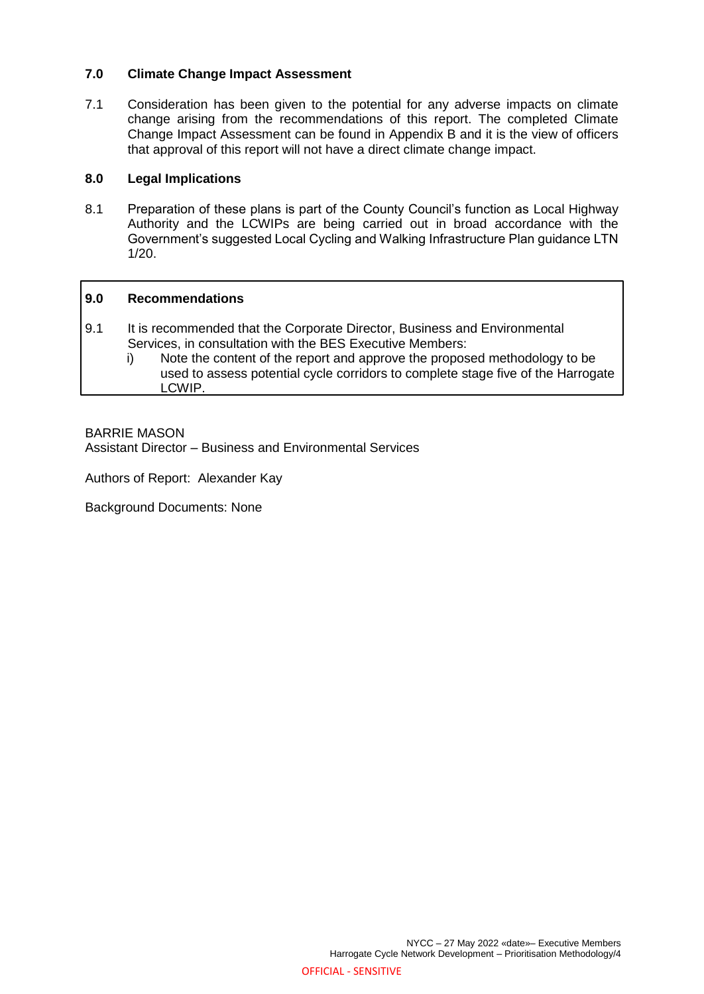### **7.0 Climate Change Impact Assessment**

7.1 Consideration has been given to the potential for any adverse impacts on climate change arising from the recommendations of this report. The completed Climate Change Impact Assessment can be found in Appendix B and it is the view of officers that approval of this report will not have a direct climate change impact.

### **8.0 Legal Implications**

8.1 Preparation of these plans is part of the County Council's function as Local Highway Authority and the LCWIPs are being carried out in broad accordance with the Government's suggested Local Cycling and Walking Infrastructure Plan guidance LTN 1/20.

#### **9.0 Recommendations**

- 9.1 It is recommended that the Corporate Director, Business and Environmental Services, in consultation with the BES Executive Members:
	- i) Note the content of the report and approve the proposed methodology to be used to assess potential cycle corridors to complete stage five of the Harrogate LCWIP.

### BARRIE MASON

Assistant Director – Business and Environmental Services

Authors of Report: Alexander Kay

Background Documents: None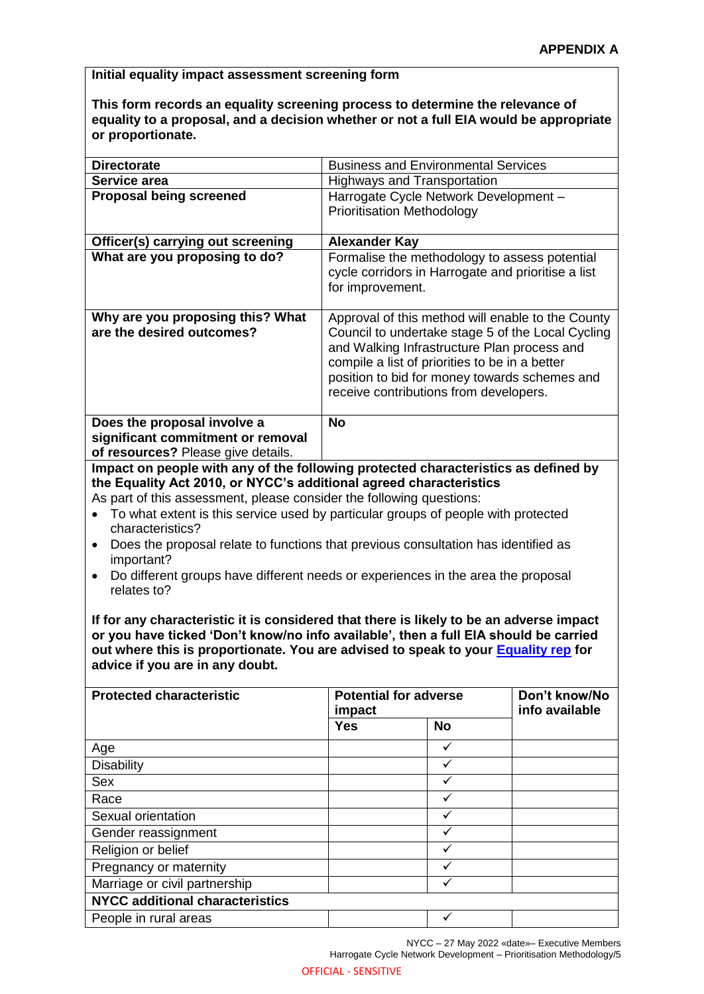**Initial equality impact assessment screening form**

**This form records an equality screening process to determine the relevance of equality to a proposal, and a decision whether or not a full EIA would be appropriate or proportionate.** 

| <b>Directorate</b>                                                                                                                                                                                                                                                                                                                                                                                                                                                                                                                                                                                                                                                                                                                                                                 |                                                                                                                                                 | <b>Business and Environmental Services</b> |  |  |
|------------------------------------------------------------------------------------------------------------------------------------------------------------------------------------------------------------------------------------------------------------------------------------------------------------------------------------------------------------------------------------------------------------------------------------------------------------------------------------------------------------------------------------------------------------------------------------------------------------------------------------------------------------------------------------------------------------------------------------------------------------------------------------|-------------------------------------------------------------------------------------------------------------------------------------------------|--------------------------------------------|--|--|
| Service area                                                                                                                                                                                                                                                                                                                                                                                                                                                                                                                                                                                                                                                                                                                                                                       | <b>Highways and Transportation</b>                                                                                                              |                                            |  |  |
| <b>Proposal being screened</b>                                                                                                                                                                                                                                                                                                                                                                                                                                                                                                                                                                                                                                                                                                                                                     | Harrogate Cycle Network Development -<br><b>Prioritisation Methodology</b>                                                                      |                                            |  |  |
| Officer(s) carrying out screening                                                                                                                                                                                                                                                                                                                                                                                                                                                                                                                                                                                                                                                                                                                                                  |                                                                                                                                                 |                                            |  |  |
| What are you proposing to do?                                                                                                                                                                                                                                                                                                                                                                                                                                                                                                                                                                                                                                                                                                                                                      | <b>Alexander Kay</b><br>Formalise the methodology to assess potential<br>cycle corridors in Harrogate and prioritise a list<br>for improvement. |                                            |  |  |
| Why are you proposing this? What<br>Approval of this method will enable to the County<br>are the desired outcomes?<br>Council to undertake stage 5 of the Local Cycling<br>and Walking Infrastructure Plan process and<br>compile a list of priorities to be in a better<br>position to bid for money towards schemes and<br>receive contributions from developers.                                                                                                                                                                                                                                                                                                                                                                                                                |                                                                                                                                                 |                                            |  |  |
| Does the proposal involve a<br>significant commitment or removal<br>of resources? Please give details.<br>Impact on people with any of the following protected characteristics as defined by                                                                                                                                                                                                                                                                                                                                                                                                                                                                                                                                                                                       | <b>No</b>                                                                                                                                       |                                            |  |  |
| the Equality Act 2010, or NYCC's additional agreed characteristics<br>As part of this assessment, please consider the following questions:<br>To what extent is this service used by particular groups of people with protected<br>characteristics?<br>Does the proposal relate to functions that previous consultation has identified as<br>٠<br>important?<br>Do different groups have different needs or experiences in the area the proposal<br>relates to?<br>If for any characteristic it is considered that there is likely to be an adverse impact<br>or you have ticked 'Don't know/no info available', then a full EIA should be carried<br>out where this is proportionate. You are advised to speak to your <b>Equality rep</b> for<br>advice if you are in any doubt. |                                                                                                                                                 |                                            |  |  |
| <b>Protected characteristic</b>                                                                                                                                                                                                                                                                                                                                                                                                                                                                                                                                                                                                                                                                                                                                                    | <b>Potential for adverse</b><br>impact                                                                                                          | Don't know/No<br>info available            |  |  |
|                                                                                                                                                                                                                                                                                                                                                                                                                                                                                                                                                                                                                                                                                                                                                                                    | <b>Yes</b>                                                                                                                                      | <b>No</b>                                  |  |  |
| Age                                                                                                                                                                                                                                                                                                                                                                                                                                                                                                                                                                                                                                                                                                                                                                                |                                                                                                                                                 | $\checkmark$                               |  |  |
| <b>Disability</b>                                                                                                                                                                                                                                                                                                                                                                                                                                                                                                                                                                                                                                                                                                                                                                  |                                                                                                                                                 | ✓                                          |  |  |
| Sex                                                                                                                                                                                                                                                                                                                                                                                                                                                                                                                                                                                                                                                                                                                                                                                |                                                                                                                                                 | $\checkmark$                               |  |  |
| Race                                                                                                                                                                                                                                                                                                                                                                                                                                                                                                                                                                                                                                                                                                                                                                               |                                                                                                                                                 | ✓                                          |  |  |
| Sexual orientation                                                                                                                                                                                                                                                                                                                                                                                                                                                                                                                                                                                                                                                                                                                                                                 |                                                                                                                                                 | ✓                                          |  |  |
| Gender reassignment                                                                                                                                                                                                                                                                                                                                                                                                                                                                                                                                                                                                                                                                                                                                                                |                                                                                                                                                 | $\checkmark$                               |  |  |
| Religion or belief                                                                                                                                                                                                                                                                                                                                                                                                                                                                                                                                                                                                                                                                                                                                                                 |                                                                                                                                                 | ✓                                          |  |  |
| Pregnancy or maternity                                                                                                                                                                                                                                                                                                                                                                                                                                                                                                                                                                                                                                                                                                                                                             |                                                                                                                                                 | $\checkmark$                               |  |  |
| Marriage or civil partnership                                                                                                                                                                                                                                                                                                                                                                                                                                                                                                                                                                                                                                                                                                                                                      |                                                                                                                                                 | $\checkmark$                               |  |  |
| $NIVCA$ edditional above                                                                                                                                                                                                                                                                                                                                                                                                                                                                                                                                                                                                                                                                                                                                                           |                                                                                                                                                 |                                            |  |  |

**NYCC additional characteristics** People in rural areas and the set of the set of the set of the set of the set of the set of the set of the set of the set of the set of the set of the set of the set of the set of the set of the set of the set of the set o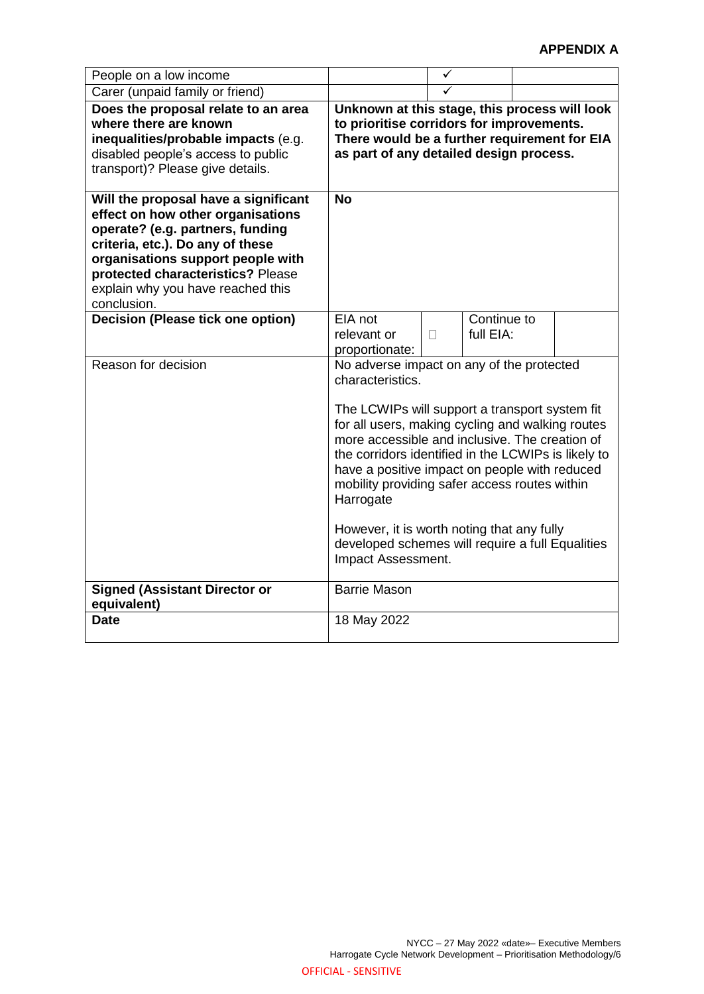| People on a low income                                                                                                                                                                                                                                                          |                                                                                                                                                                                                                                                                                                                                                                                                                                                                                                                     | ✓ |                          |  |  |
|---------------------------------------------------------------------------------------------------------------------------------------------------------------------------------------------------------------------------------------------------------------------------------|---------------------------------------------------------------------------------------------------------------------------------------------------------------------------------------------------------------------------------------------------------------------------------------------------------------------------------------------------------------------------------------------------------------------------------------------------------------------------------------------------------------------|---|--------------------------|--|--|
| Carer (unpaid family or friend)                                                                                                                                                                                                                                                 |                                                                                                                                                                                                                                                                                                                                                                                                                                                                                                                     | ✓ |                          |  |  |
| Does the proposal relate to an area<br>where there are known<br>inequalities/probable impacts (e.g.<br>disabled people's access to public<br>transport)? Please give details.                                                                                                   | Unknown at this stage, this process will look<br>to prioritise corridors for improvements.<br>There would be a further requirement for EIA<br>as part of any detailed design process.                                                                                                                                                                                                                                                                                                                               |   |                          |  |  |
| Will the proposal have a significant<br>effect on how other organisations<br>operate? (e.g. partners, funding<br>criteria, etc.). Do any of these<br>organisations support people with<br>protected characteristics? Please<br>explain why you have reached this<br>conclusion. | <b>No</b>                                                                                                                                                                                                                                                                                                                                                                                                                                                                                                           |   |                          |  |  |
| <b>Decision (Please tick one option)</b>                                                                                                                                                                                                                                        | EIA not<br>relevant or<br>proportionate:                                                                                                                                                                                                                                                                                                                                                                                                                                                                            | П | Continue to<br>full EIA: |  |  |
| Reason for decision                                                                                                                                                                                                                                                             | No adverse impact on any of the protected<br>characteristics.<br>The LCWIPs will support a transport system fit<br>for all users, making cycling and walking routes<br>more accessible and inclusive. The creation of<br>the corridors identified in the LCWIPs is likely to<br>have a positive impact on people with reduced<br>mobility providing safer access routes within<br>Harrogate<br>However, it is worth noting that any fully<br>developed schemes will require a full Equalities<br>Impact Assessment. |   |                          |  |  |
| <b>Signed (Assistant Director or</b><br>equivalent)                                                                                                                                                                                                                             | <b>Barrie Mason</b>                                                                                                                                                                                                                                                                                                                                                                                                                                                                                                 |   |                          |  |  |
| <b>Date</b>                                                                                                                                                                                                                                                                     | 18 May 2022                                                                                                                                                                                                                                                                                                                                                                                                                                                                                                         |   |                          |  |  |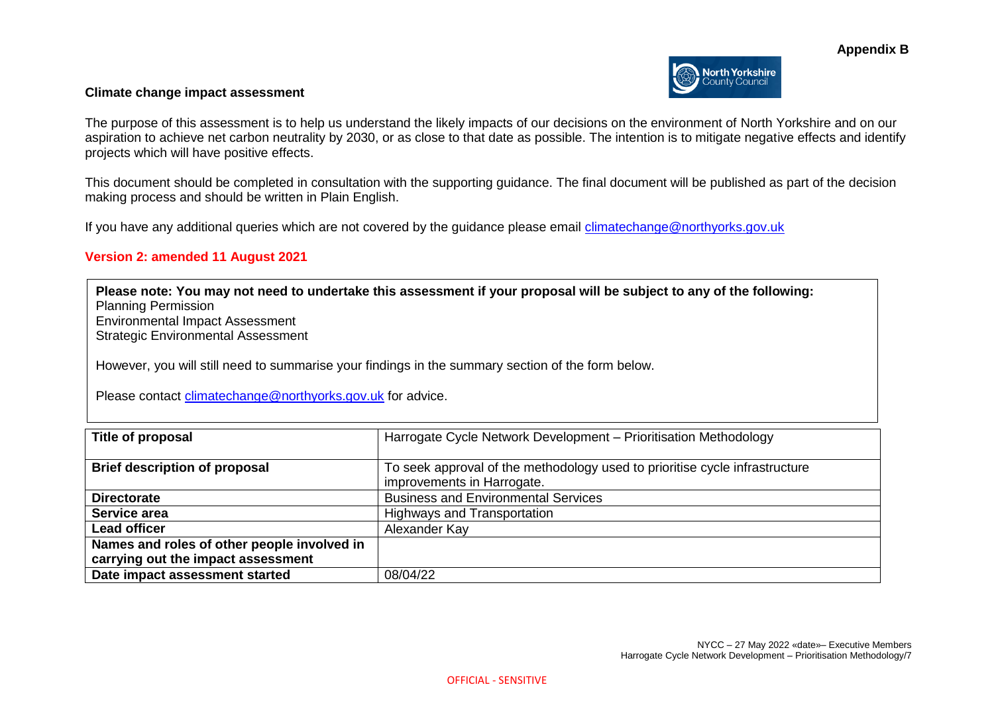

#### **Climate change impact assessment**

The purpose of this assessment is to help us understand the likely impacts of our decisions on the environment of North Yorkshire and on our aspiration to achieve net carbon neutrality by 2030, or as close to that date as possible. The intention is to mitigate negative effects and identify projects which will have positive effects.

This document should be completed in consultation with the supporting guidance. The final document will be published as part of the decision making process and should be written in Plain English.

If you have any additional queries which are not covered by the guidance please email [climatechange@northyorks.gov.uk](mailto:climatechange@northyorks.gov.uk) 

#### **Version 2: amended 11 August 2021**

**Please note: You may not need to undertake this assessment if your proposal will be subject to any of the following:**  Planning Permission Environmental Impact Assessment Strategic Environmental Assessment

However, you will still need to summarise your findings in the summary section of the form below.

Please contact [climatechange@northyorks.gov.uk](mailto:climatechange@northyorks.gov.uk) for advice.

| Title of proposal                           | Harrogate Cycle Network Development - Prioritisation Methodology                                          |
|---------------------------------------------|-----------------------------------------------------------------------------------------------------------|
| <b>Brief description of proposal</b>        | To seek approval of the methodology used to prioritise cycle infrastructure<br>improvements in Harrogate. |
| <b>Directorate</b>                          | <b>Business and Environmental Services</b>                                                                |
| Service area                                | <b>Highways and Transportation</b>                                                                        |
| <b>Lead officer</b>                         | Alexander Kay                                                                                             |
| Names and roles of other people involved in |                                                                                                           |
| carrying out the impact assessment          |                                                                                                           |
| Date impact assessment started              | 08/04/22                                                                                                  |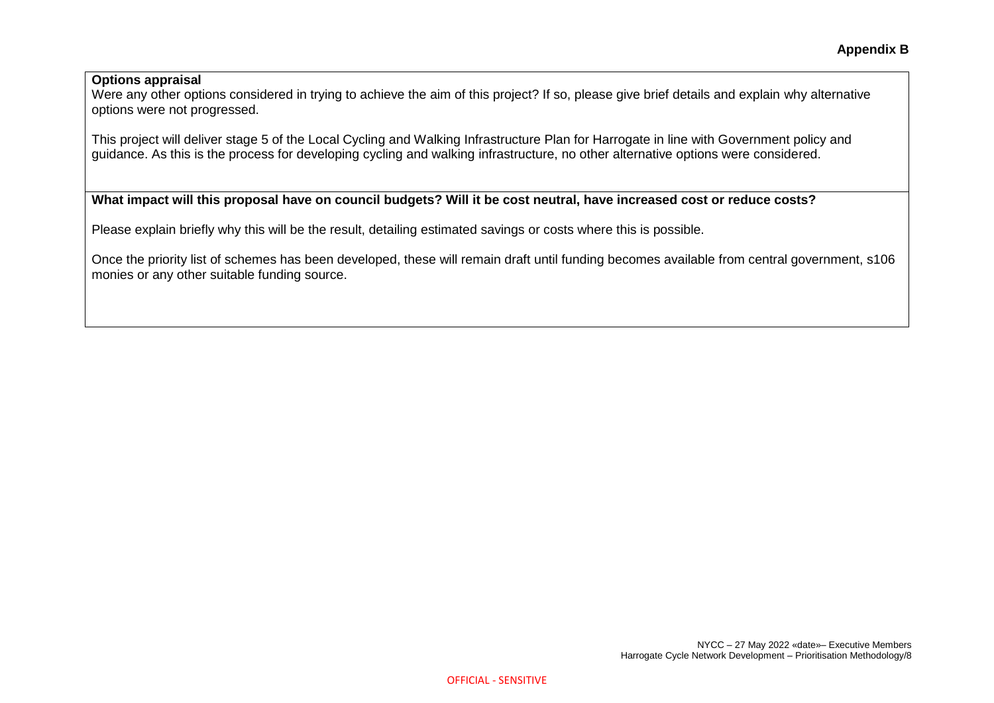#### **Options appraisal**

Were any other options considered in trying to achieve the aim of this project? If so, please give brief details and explain why alternative options were not progressed.

This project will deliver stage 5 of the Local Cycling and Walking Infrastructure Plan for Harrogate in line with Government policy and guidance. As this is the process for developing cycling and walking infrastructure, no other alternative options were considered.

# **What impact will this proposal have on council budgets? Will it be cost neutral, have increased cost or reduce costs?**

Please explain briefly why this will be the result, detailing estimated savings or costs where this is possible.

Once the priority list of schemes has been developed, these will remain draft until funding becomes available from central government, s106 monies or any other suitable funding source.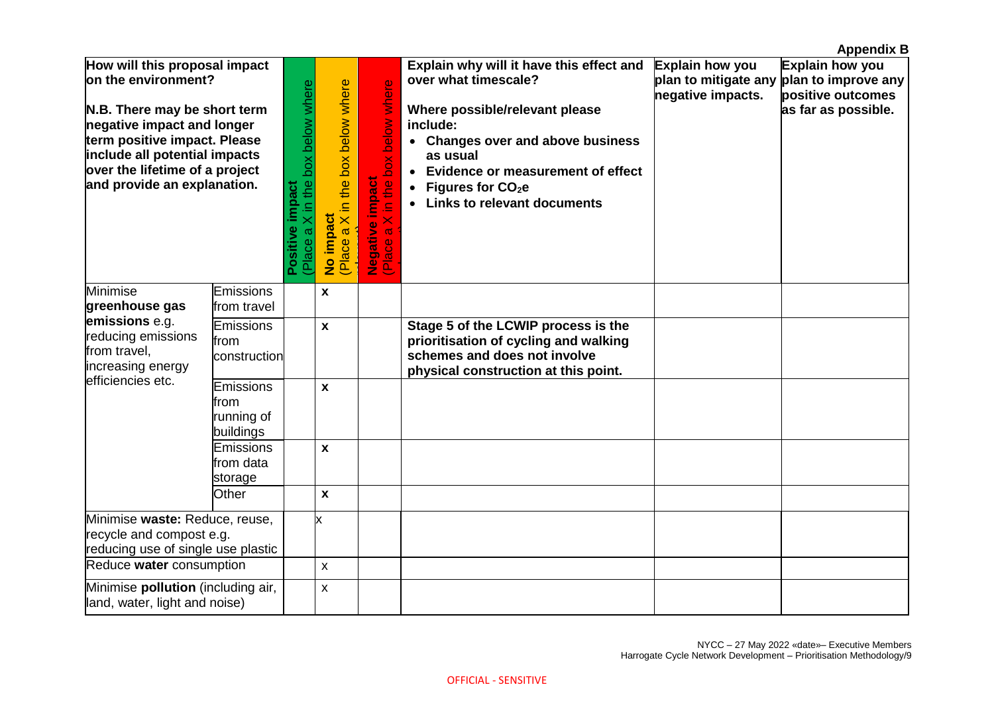|                                                                                                                                                                                                                                                      |                                              |                                                         |                                                       |                                                                         |                                                                                                                                                                                                                                                                               |                                             | <b>Appendix B</b>                                                                                       |
|------------------------------------------------------------------------------------------------------------------------------------------------------------------------------------------------------------------------------------------------------|----------------------------------------------|---------------------------------------------------------|-------------------------------------------------------|-------------------------------------------------------------------------|-------------------------------------------------------------------------------------------------------------------------------------------------------------------------------------------------------------------------------------------------------------------------------|---------------------------------------------|---------------------------------------------------------------------------------------------------------|
| How will this proposal impact<br>on the environment?<br>N.B. There may be short term<br>negative impact and longer<br>term positive impact. Please<br>include all potential impacts<br>over the lifetime of a project<br>and provide an explanation. |                                              | (Place a X in the box below where<br>impact<br>Positive | X in the box below where<br>No impact<br>(Place a X i | in the box below where<br><b>Negative impact</b><br>(Place a X in the l | Explain why will it have this effect and<br>over what timescale?<br>Where possible/relevant please<br>include:<br>• Changes over and above business<br>as usual<br>• Evidence or measurement of effect<br>Figures for CO <sub>2</sub> e<br><b>Links to relevant documents</b> | <b>Explain how you</b><br>negative impacts. | Explain how you<br>plan to mitigate any plan to improve any<br>positive outcomes<br>as far as possible. |
| Minimise<br>greenhouse gas                                                                                                                                                                                                                           | Emissions<br>from travel                     |                                                         | X                                                     |                                                                         |                                                                                                                                                                                                                                                                               |                                             |                                                                                                         |
| emissions e.g.<br>reducing emissions<br>from travel,<br>increasing energy                                                                                                                                                                            | <b>Emissions</b><br>from<br>construction     |                                                         | $\pmb{\mathsf{x}}$                                    |                                                                         | Stage 5 of the LCWIP process is the<br>prioritisation of cycling and walking<br>schemes and does not involve<br>physical construction at this point.                                                                                                                          |                                             |                                                                                                         |
| efficiencies etc.                                                                                                                                                                                                                                    | Emissions<br>from<br>running of<br>buildings |                                                         | X                                                     |                                                                         |                                                                                                                                                                                                                                                                               |                                             |                                                                                                         |
|                                                                                                                                                                                                                                                      | Emissions<br>from data<br>storage            |                                                         | $\pmb{\mathsf{x}}$                                    |                                                                         |                                                                                                                                                                                                                                                                               |                                             |                                                                                                         |
|                                                                                                                                                                                                                                                      | Other                                        |                                                         | $\mathbf{x}$                                          |                                                                         |                                                                                                                                                                                                                                                                               |                                             |                                                                                                         |
| Minimise waste: Reduce, reuse,<br>recycle and compost e.g.<br>reducing use of single use plastic                                                                                                                                                     |                                              |                                                         | x                                                     |                                                                         |                                                                                                                                                                                                                                                                               |                                             |                                                                                                         |
| Reduce water consumption                                                                                                                                                                                                                             |                                              |                                                         | $\pmb{\mathsf{x}}$                                    |                                                                         |                                                                                                                                                                                                                                                                               |                                             |                                                                                                         |
| Minimise pollution (including air,<br>land, water, light and noise)                                                                                                                                                                                  |                                              |                                                         | X                                                     |                                                                         |                                                                                                                                                                                                                                                                               |                                             |                                                                                                         |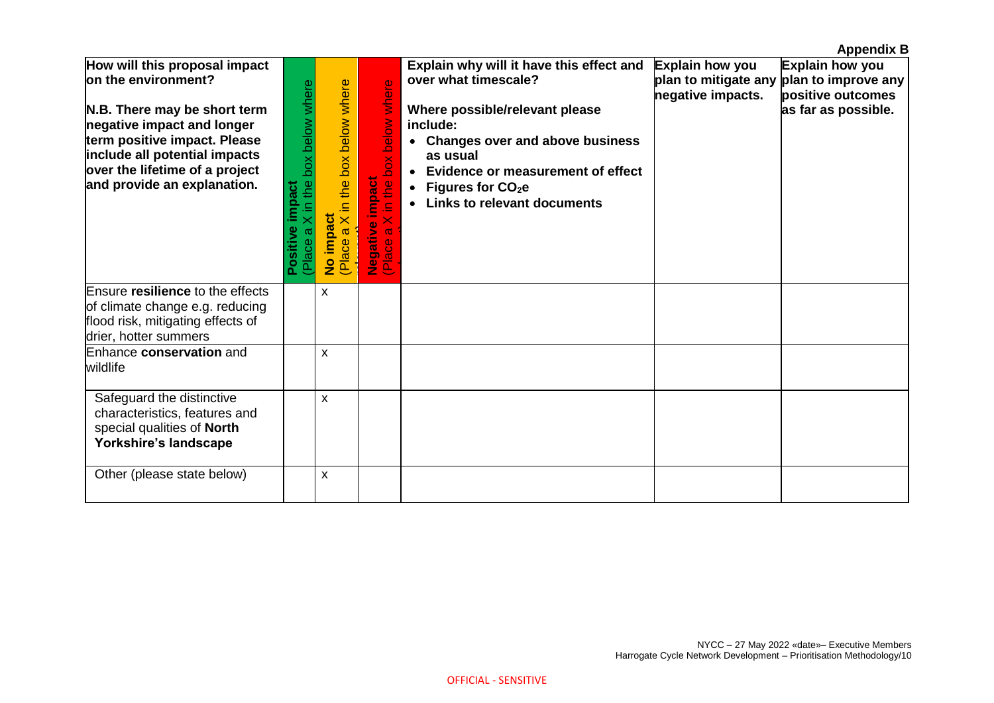|                                                                                                                                                                                                                                                      |                                                       |                                                             |                                                                                                                            |                                                                                                                                                                                                                                                                                            |                                      | <b>Appendix B</b>                                                                                       |
|------------------------------------------------------------------------------------------------------------------------------------------------------------------------------------------------------------------------------------------------------|-------------------------------------------------------|-------------------------------------------------------------|----------------------------------------------------------------------------------------------------------------------------|--------------------------------------------------------------------------------------------------------------------------------------------------------------------------------------------------------------------------------------------------------------------------------------------|--------------------------------------|---------------------------------------------------------------------------------------------------------|
| How will this proposal impact<br>on the environment?<br>N.B. There may be short term<br>negative impact and longer<br>term positive impact. Please<br>include all potential impacts<br>over the lifetime of a project<br>and provide an explanation. | in the box below where<br>impact<br>Positive<br>Place | X in the box below where<br>No impact<br>$\varpi$<br>(Place | ere<br>box below wh<br><b>Impact</b><br>$\pmb{\omega}$<br>€<br>$\equiv$<br>$\overline{\times}$<br>Negative i<br>(Place a X | Explain why will it have this effect and<br>over what timescale?<br>Where possible/relevant please<br>include:<br>• Changes over and above business<br>as usual<br>• Evidence or measurement of effect<br>Figures for CO <sub>2</sub> e<br>$\bullet$<br><b>Links to relevant documents</b> | Explain how you<br>negative impacts. | Explain how you<br>plan to mitigate any plan to improve any<br>positive outcomes<br>as far as possible. |
| Ensure resilience to the effects<br>of climate change e.g. reducing<br>flood risk, mitigating effects of<br>drier, hotter summers                                                                                                                    |                                                       | X                                                           |                                                                                                                            |                                                                                                                                                                                                                                                                                            |                                      |                                                                                                         |
| Enhance conservation and<br>wildlife                                                                                                                                                                                                                 |                                                       | X                                                           |                                                                                                                            |                                                                                                                                                                                                                                                                                            |                                      |                                                                                                         |
| Safeguard the distinctive<br>characteristics, features and<br>special qualities of North<br>Yorkshire's landscape                                                                                                                                    |                                                       | X                                                           |                                                                                                                            |                                                                                                                                                                                                                                                                                            |                                      |                                                                                                         |
| Other (please state below)                                                                                                                                                                                                                           |                                                       | X                                                           |                                                                                                                            |                                                                                                                                                                                                                                                                                            |                                      |                                                                                                         |